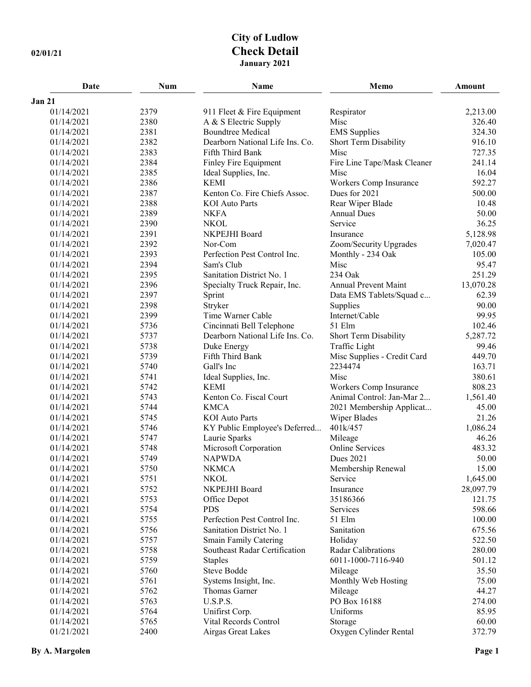## **City of Ludlow 02/01/21 Check Detail January 2021**

| Date          | <b>Num</b> | Name                            | Memo                        | Amount    |
|---------------|------------|---------------------------------|-----------------------------|-----------|
| <b>Jan 21</b> |            |                                 |                             |           |
| 01/14/2021    | 2379       | 911 Fleet & Fire Equipment      | Respirator                  | 2,213.00  |
| 01/14/2021    | 2380       | A & S Electric Supply           | Misc                        | 326.40    |
| 01/14/2021    | 2381       | <b>Boundtree Medical</b>        | <b>EMS</b> Supplies         | 324.30    |
| 01/14/2021    | 2382       | Dearborn National Life Ins. Co. | Short Term Disability       | 916.10    |
| 01/14/2021    | 2383       | Fifth Third Bank                | Misc                        | 727.35    |
| 01/14/2021    | 2384       | Finley Fire Equipment           | Fire Line Tape/Mask Cleaner | 241.14    |
| 01/14/2021    | 2385       | Ideal Supplies, Inc.            | Misc                        | 16.04     |
| 01/14/2021    | 2386       | <b>KEMI</b>                     | Workers Comp Insurance      | 592.27    |
| 01/14/2021    | 2387       | Kenton Co. Fire Chiefs Assoc.   | Dues for 2021               | 500.00    |
| 01/14/2021    | 2388       | <b>KOI</b> Auto Parts           | Rear Wiper Blade            | 10.48     |
| 01/14/2021    | 2389       | <b>NKFA</b>                     | <b>Annual Dues</b>          | 50.00     |
| 01/14/2021    | 2390       | <b>NKOL</b>                     | Service                     | 36.25     |
| 01/14/2021    | 2391       | NKPEJHI Board                   | Insurance                   | 5,128.98  |
| 01/14/2021    | 2392       | Nor-Com                         | Zoom/Security Upgrades      | 7,020.47  |
| 01/14/2021    | 2393       | Perfection Pest Control Inc.    | Monthly - 234 Oak           | 105.00    |
| 01/14/2021    | 2394       | Sam's Club                      | Misc                        | 95.47     |
| 01/14/2021    | 2395       | Sanitation District No. 1       | 234 Oak                     | 251.29    |
| 01/14/2021    | 2396       | Specialty Truck Repair, Inc.    | Annual Prevent Maint        | 13,070.28 |
| 01/14/2021    | 2397       | Sprint                          | Data EMS Tablets/Squad c    | 62.39     |
| 01/14/2021    | 2398       | Stryker                         | Supplies                    | 90.00     |
| 01/14/2021    | 2399       | Time Warner Cable               | Internet/Cable              | 99.95     |
| 01/14/2021    | 5736       | Cincinnati Bell Telephone       | 51 Elm                      | 102.46    |
| 01/14/2021    | 5737       | Dearborn National Life Ins. Co. | Short Term Disability       | 5,287.72  |
| 01/14/2021    | 5738       | Duke Energy                     | Traffic Light               | 99.46     |
| 01/14/2021    | 5739       | Fifth Third Bank                | Misc Supplies - Credit Card | 449.70    |
| 01/14/2021    | 5740       | Gall's Inc                      | 2234474                     | 163.71    |
| 01/14/2021    | 5741       | Ideal Supplies, Inc.            | Misc                        | 380.61    |
| 01/14/2021    | 5742       | <b>KEMI</b>                     | Workers Comp Insurance      | 808.23    |
| 01/14/2021    | 5743       | Kenton Co. Fiscal Court         | Animal Control: Jan-Mar 2   | 1,561.40  |
| 01/14/2021    | 5744       | <b>KMCA</b>                     | 2021 Membership Applicat    | 45.00     |
| 01/14/2021    | 5745       | <b>KOI</b> Auto Parts           | Wiper Blades                | 21.26     |
| 01/14/2021    | 5746       | KY Public Employee's Deferred   | 401k/457                    | 1,086.24  |
| 01/14/2021    | 5747       | Laurie Sparks                   | Mileage                     | 46.26     |
| 01/14/2021    | 5748       | Microsoft Corporation           | <b>Online Services</b>      | 483.32    |
| 01/14/2021    | 5749       | <b>NAPWDA</b>                   | <b>Dues 2021</b>            | 50.00     |
| 01/14/2021    | 5750       | <b>NKMCA</b>                    | Membership Renewal          | 15.00     |
| 01/14/2021    | 5751       | <b>NKOL</b>                     | Service                     | 1,645.00  |
| 01/14/2021    | 5752       | NKPEJHI Board                   | Insurance                   | 28,097.79 |
| 01/14/2021    | 5753       | Office Depot                    | 35186366                    | 121.75    |
| 01/14/2021    | 5754       | <b>PDS</b>                      | Services                    | 598.66    |
| 01/14/2021    | 5755       | Perfection Pest Control Inc.    | 51 Elm                      | 100.00    |
| 01/14/2021    | 5756       | Sanitation District No. 1       | Sanitation                  | 675.56    |
| 01/14/2021    | 5757       | <b>Smain Family Catering</b>    | Holiday                     | 522.50    |
| 01/14/2021    | 5758       | Southeast Radar Certification   | Radar Calibrations          | 280.00    |
| 01/14/2021    | 5759       | <b>Staples</b>                  | 6011-1000-7116-940          | 501.12    |
| 01/14/2021    | 5760       | Steve Bodde                     | Mileage                     | 35.50     |
| 01/14/2021    | 5761       | Systems Insight, Inc.           | Monthly Web Hosting         | 75.00     |
| 01/14/2021    | 5762       | Thomas Garner                   | Mileage                     | 44.27     |
| 01/14/2021    | 5763       | U.S.P.S.                        | PO Box 16188                | 274.00    |
| 01/14/2021    | 5764       | Unifirst Corp.                  | Uniforms                    | 85.95     |
| 01/14/2021    | 5765       | Vital Records Control           | Storage                     | 60.00     |
| 01/21/2021    | 2400       | Airgas Great Lakes              | Oxygen Cylinder Rental      | 372.79    |